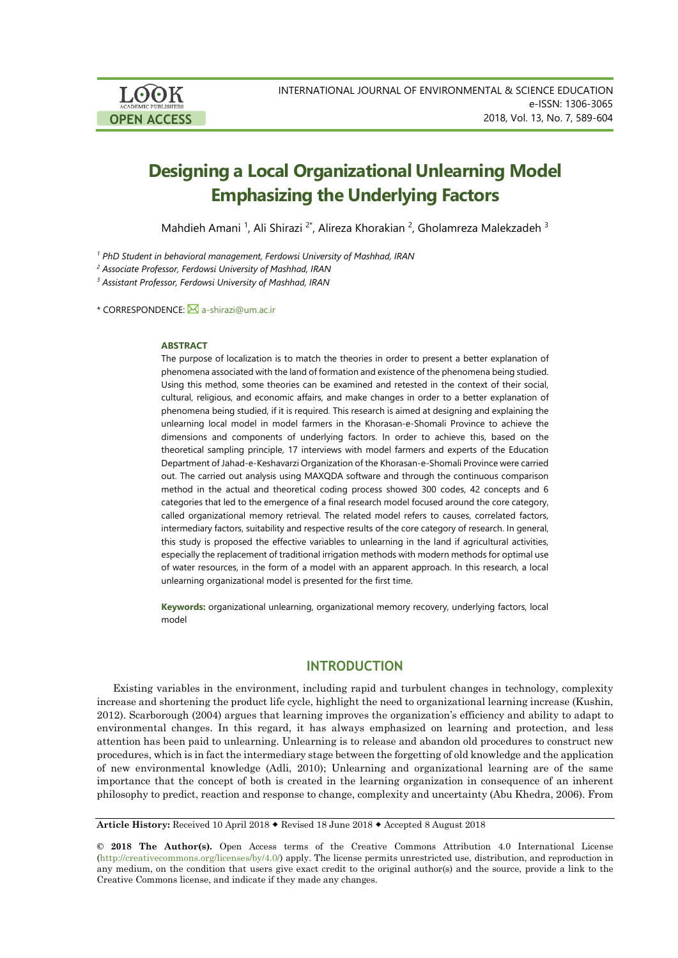

# **Designing a Local Organizational Unlearning Model Emphasizing the Underlying Factors**

Mahdieh Amani <sup>1</sup>, Ali Shirazi <sup>2\*</sup>, Alireza Khorakian <sup>2</sup>, Gholamreza Malekzadeh <sup>3</sup>

*<sup>1</sup> PhD Student in behavioral management, Ferdowsi University of Mashhad, IRAN*

*<sup>2</sup> Associate Professor, Ferdowsi University of Mashhad, IRAN*

*<sup>3</sup> Assistant Professor, Ferdowsi University of Mashhad, IRAN*

\* CORRESPONDENCE: [a-shirazi@um.ac.ir](mailto:a-shirazi@um.ac.ir)

#### **ABSTRACT**

The purpose of localization is to match the theories in order to present a better explanation of phenomena associated with the land of formation and existence of the phenomena being studied. Using this method, some theories can be examined and retested in the context of their social, cultural, religious, and economic affairs, and make changes in order to a better explanation of phenomena being studied, if it is required. This research is aimed at designing and explaining the unlearning local model in model farmers in the Khorasan-e-Shomali Province to achieve the dimensions and components of underlying factors. In order to achieve this, based on the theoretical sampling principle, 17 interviews with model farmers and experts of the Education Department of Jahad-e-Keshavarzi Organization of the Khorasan-e-Shomali Province were carried out. The carried out analysis using MAXQDA software and through the continuous comparison method in the actual and theoretical coding process showed 300 codes, 42 concepts and 6 categories that led to the emergence of a final research model focused around the core category, called organizational memory retrieval. The related model refers to causes, correlated factors, intermediary factors, suitability and respective results of the core category of research. In general, this study is proposed the effective variables to unlearning in the land if agricultural activities, especially the replacement of traditional irrigation methods with modern methods for optimal use of water resources, in the form of a model with an apparent approach. In this research, a local unlearning organizational model is presented for the first time.

**Keywords:** organizational unlearning, organizational memory recovery, underlying factors, local model

# **INTRODUCTION**

Existing variables in the environment, including rapid and turbulent changes in technology, complexity increase and shortening the product life cycle, highlight the need to organizational learning increase (Kushin, 2012). Scarborough (2004) argues that learning improves the organization's efficiency and ability to adapt to environmental changes. In this regard, it has always emphasized on learning and protection, and less attention has been paid to unlearning. Unlearning is to release and abandon old procedures to construct new procedures, which is in fact the intermediary stage between the forgetting of old knowledge and the application of new environmental knowledge (Adli, 2010); Unlearning and organizational learning are of the same importance that the concept of both is created in the learning organization in consequence of an inherent philosophy to predict, reaction and response to change, complexity and uncertainty (Abu Khedra, 2006). From

Article History: Received 10 April 2018  $\bullet$  Revised 18 June 2018  $\bullet$  Accepted 8 August 2018

**© 2018 The Author(s).** Open Access terms of the Creative Commons Attribution 4.0 International License [\(http://creativecommons.org/licenses/by/4.0/\)](http://creativecommons.org/licenses/by/4.0/) apply. The license permits unrestricted use, distribution, and reproduction in any medium, on the condition that users give exact credit to the original author(s) and the source, provide a link to the Creative Commons license, and indicate if they made any changes.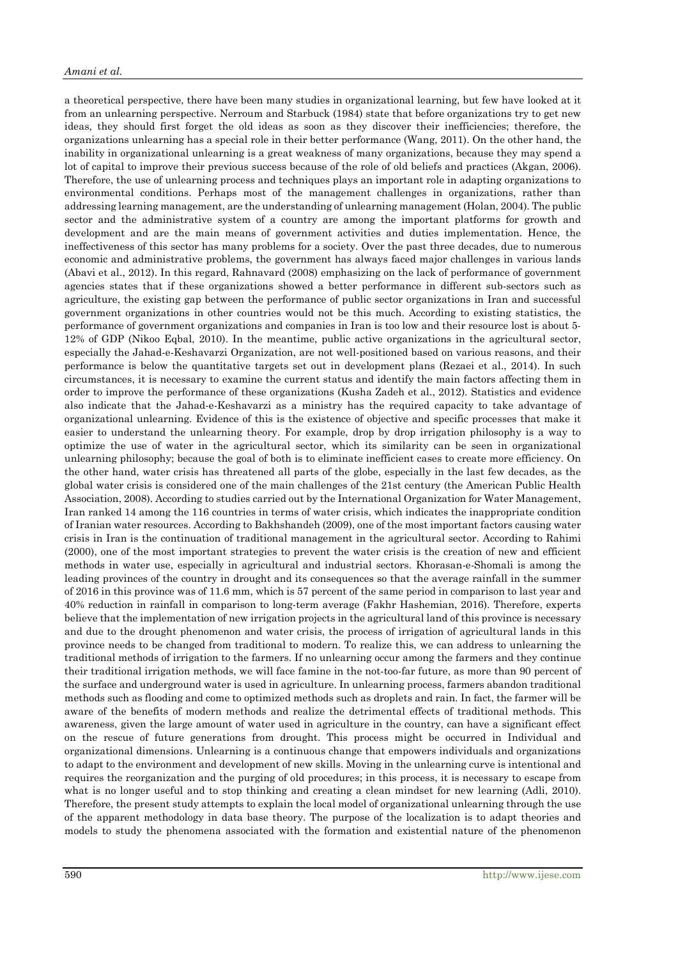a theoretical perspective, there have been many studies in organizational learning, but few have looked at it from an unlearning perspective. Nerroum and Starbuck (1984) state that before organizations try to get new ideas, they should first forget the old ideas as soon as they discover their inefficiencies; therefore, the organizations unlearning has a special role in their better performance (Wang, 2011). On the other hand, the inability in organizational unlearning is a great weakness of many organizations, because they may spend a lot of capital to improve their previous success because of the role of old beliefs and practices (Akgan, 2006). Therefore, the use of unlearning process and techniques plays an important role in adapting organizations to environmental conditions. Perhaps most of the management challenges in organizations, rather than addressing learning management, are the understanding of unlearning management (Holan, 2004). The public sector and the administrative system of a country are among the important platforms for growth and development and are the main means of government activities and duties implementation. Hence, the ineffectiveness of this sector has many problems for a society. Over the past three decades, due to numerous economic and administrative problems, the government has always faced major challenges in various lands (Abavi et al., 2012). In this regard, Rahnavard (2008) emphasizing on the lack of performance of government agencies states that if these organizations showed a better performance in different sub-sectors such as agriculture, the existing gap between the performance of public sector organizations in Iran and successful government organizations in other countries would not be this much. According to existing statistics, the performance of government organizations and companies in Iran is too low and their resource lost is about 5- 12% of GDP (Nikoo Eqbal, 2010). In the meantime, public active organizations in the agricultural sector, especially the Jahad-e-Keshavarzi Organization, are not well-positioned based on various reasons, and their performance is below the quantitative targets set out in development plans (Rezaei et al., 2014). In such circumstances, it is necessary to examine the current status and identify the main factors affecting them in order to improve the performance of these organizations (Kusha Zadeh et al., 2012). Statistics and evidence also indicate that the Jahad-e-Keshavarzi as a ministry has the required capacity to take advantage of organizational unlearning. Evidence of this is the existence of objective and specific processes that make it easier to understand the unlearning theory. For example, drop by drop irrigation philosophy is a way to optimize the use of water in the agricultural sector, which its similarity can be seen in organizational unlearning philosophy; because the goal of both is to eliminate inefficient cases to create more efficiency. On the other hand, water crisis has threatened all parts of the globe, especially in the last few decades, as the global water crisis is considered one of the main challenges of the 21st century (the American Public Health Association, 2008). According to studies carried out by the International Organization for Water Management, Iran ranked 14 among the 116 countries in terms of water crisis, which indicates the inappropriate condition of Iranian water resources. According to Bakhshandeh (2009), one of the most important factors causing water crisis in Iran is the continuation of traditional management in the agricultural sector. According to Rahimi (2000), one of the most important strategies to prevent the water crisis is the creation of new and efficient methods in water use, especially in agricultural and industrial sectors. Khorasan-e-Shomali is among the leading provinces of the country in drought and its consequences so that the average rainfall in the summer of 2016 in this province was of 11.6 mm, which is 57 percent of the same period in comparison to last year and 40% reduction in rainfall in comparison to long-term average (Fakhr Hashemian, 2016). Therefore, experts believe that the implementation of new irrigation projects in the agricultural land of this province is necessary and due to the drought phenomenon and water crisis, the process of irrigation of agricultural lands in this province needs to be changed from traditional to modern. To realize this, we can address to unlearning the traditional methods of irrigation to the farmers. If no unlearning occur among the farmers and they continue their traditional irrigation methods, we will face famine in the not-too-far future, as more than 90 percent of the surface and underground water is used in agriculture. In unlearning process, farmers abandon traditional methods such as flooding and come to optimized methods such as droplets and rain. In fact, the farmer will be aware of the benefits of modern methods and realize the detrimental effects of traditional methods. This awareness, given the large amount of water used in agriculture in the country, can have a significant effect on the rescue of future generations from drought. This process might be occurred in Individual and organizational dimensions. Unlearning is a continuous change that empowers individuals and organizations to adapt to the environment and development of new skills. Moving in the unlearning curve is intentional and requires the reorganization and the purging of old procedures; in this process, it is necessary to escape from what is no longer useful and to stop thinking and creating a clean mindset for new learning (Adli, 2010). Therefore, the present study attempts to explain the local model of organizational unlearning through the use of the apparent methodology in data base theory. The purpose of the localization is to adapt theories and models to study the phenomena associated with the formation and existential nature of the phenomenon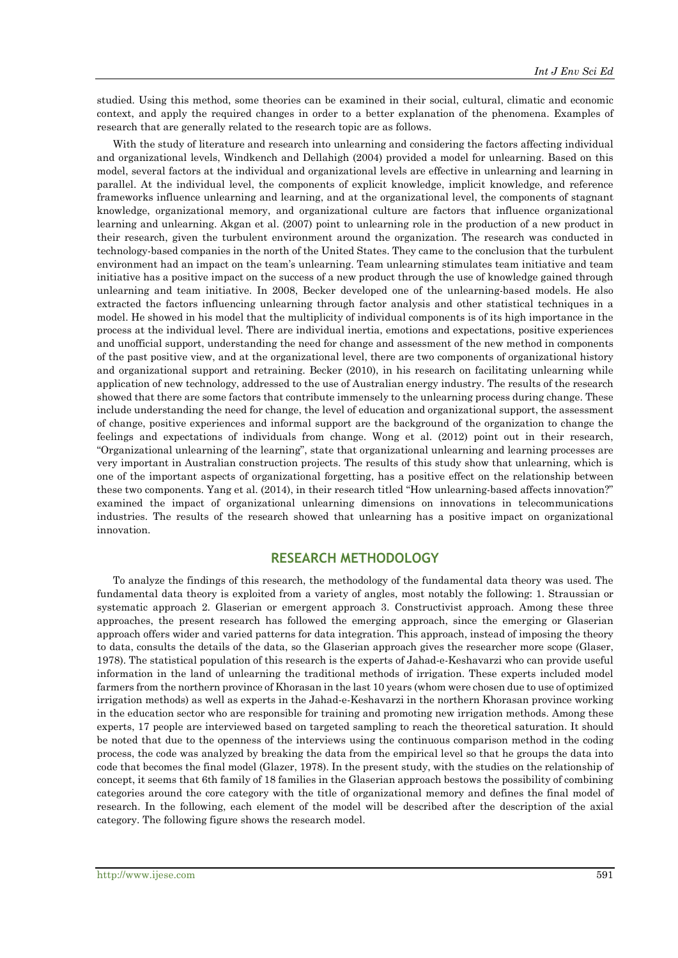studied. Using this method, some theories can be examined in their social, cultural, climatic and economic context, and apply the required changes in order to a better explanation of the phenomena. Examples of research that are generally related to the research topic are as follows.

With the study of literature and research into unlearning and considering the factors affecting individual and organizational levels, Windkench and Dellahigh (2004) provided a model for unlearning. Based on this model, several factors at the individual and organizational levels are effective in unlearning and learning in parallel. At the individual level, the components of explicit knowledge, implicit knowledge, and reference frameworks influence unlearning and learning, and at the organizational level, the components of stagnant knowledge, organizational memory, and organizational culture are factors that influence organizational learning and unlearning. Akgan et al. (2007) point to unlearning role in the production of a new product in their research, given the turbulent environment around the organization. The research was conducted in technology-based companies in the north of the United States. They came to the conclusion that the turbulent environment had an impact on the team's unlearning. Team unlearning stimulates team initiative and team initiative has a positive impact on the success of a new product through the use of knowledge gained through unlearning and team initiative. In 2008, Becker developed one of the unlearning-based models. He also extracted the factors influencing unlearning through factor analysis and other statistical techniques in a model. He showed in his model that the multiplicity of individual components is of its high importance in the process at the individual level. There are individual inertia, emotions and expectations, positive experiences and unofficial support, understanding the need for change and assessment of the new method in components of the past positive view, and at the organizational level, there are two components of organizational history and organizational support and retraining. Becker (2010), in his research on facilitating unlearning while application of new technology, addressed to the use of Australian energy industry. The results of the research showed that there are some factors that contribute immensely to the unlearning process during change. These include understanding the need for change, the level of education and organizational support, the assessment of change, positive experiences and informal support are the background of the organization to change the feelings and expectations of individuals from change. Wong et al. (2012) point out in their research, "Organizational unlearning of the learning", state that organizational unlearning and learning processes are very important in Australian construction projects. The results of this study show that unlearning, which is one of the important aspects of organizational forgetting, has a positive effect on the relationship between these two components. Yang et al. (2014), in their research titled "How unlearning-based affects innovation?" examined the impact of organizational unlearning dimensions on innovations in telecommunications industries. The results of the research showed that unlearning has a positive impact on organizational innovation.

## **RESEARCH METHODOLOGY**

To analyze the findings of this research, the methodology of the fundamental data theory was used. The fundamental data theory is exploited from a variety of angles, most notably the following: 1. Straussian or systematic approach 2. Glaserian or emergent approach 3. Constructivist approach. Among these three approaches, the present research has followed the emerging approach, since the emerging or Glaserian approach offers wider and varied patterns for data integration. This approach, instead of imposing the theory to data, consults the details of the data, so the Glaserian approach gives the researcher more scope (Glaser, 1978). The statistical population of this research is the experts of Jahad-e-Keshavarzi who can provide useful information in the land of unlearning the traditional methods of irrigation. These experts included model farmers from the northern province of Khorasan in the last 10 years (whom were chosen due to use of optimized irrigation methods) as well as experts in the Jahad-e-Keshavarzi in the northern Khorasan province working in the education sector who are responsible for training and promoting new irrigation methods. Among these experts, 17 people are interviewed based on targeted sampling to reach the theoretical saturation. It should be noted that due to the openness of the interviews using the continuous comparison method in the coding process, the code was analyzed by breaking the data from the empirical level so that he groups the data into code that becomes the final model (Glazer, 1978). In the present study, with the studies on the relationship of concept, it seems that 6th family of 18 families in the Glaserian approach bestows the possibility of combining categories around the core category with the title of organizational memory and defines the final model of research. In the following, each element of the model will be described after the description of the axial category. The following figure shows the research model.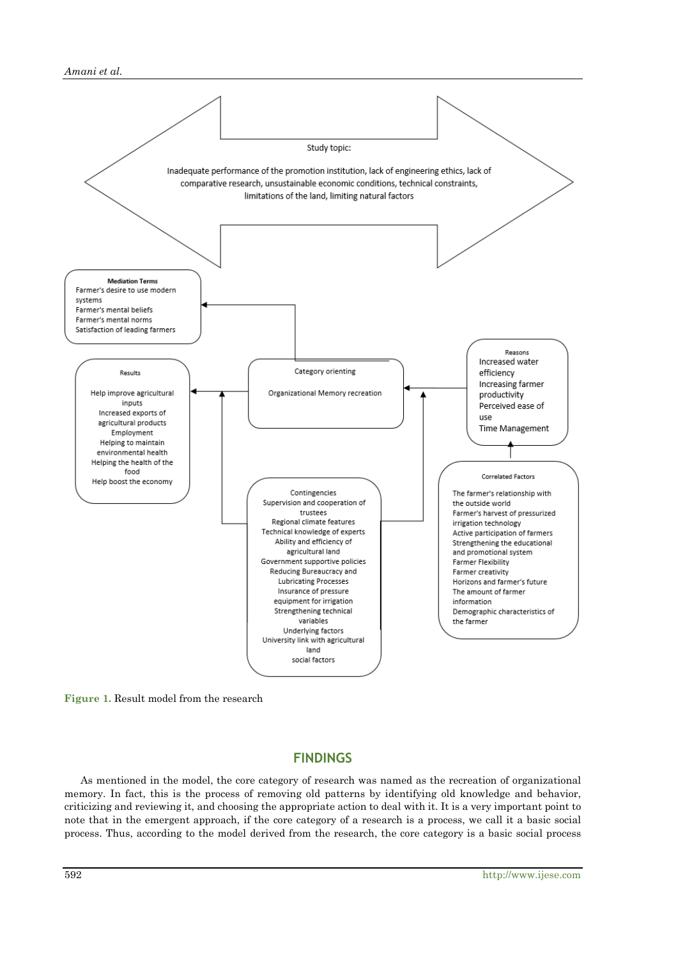#### *Amani et al.*



**Figure 1.** Result model from the research

# **FINDINGS**

As mentioned in the model, the core category of research was named as the recreation of organizational memory. In fact, this is the process of removing old patterns by identifying old knowledge and behavior, criticizing and reviewing it, and choosing the appropriate action to deal with it. It is a very important point to note that in the emergent approach, if the core category of a research is a process, we call it a basic social process. Thus, according to the model derived from the research, the core category is a basic social process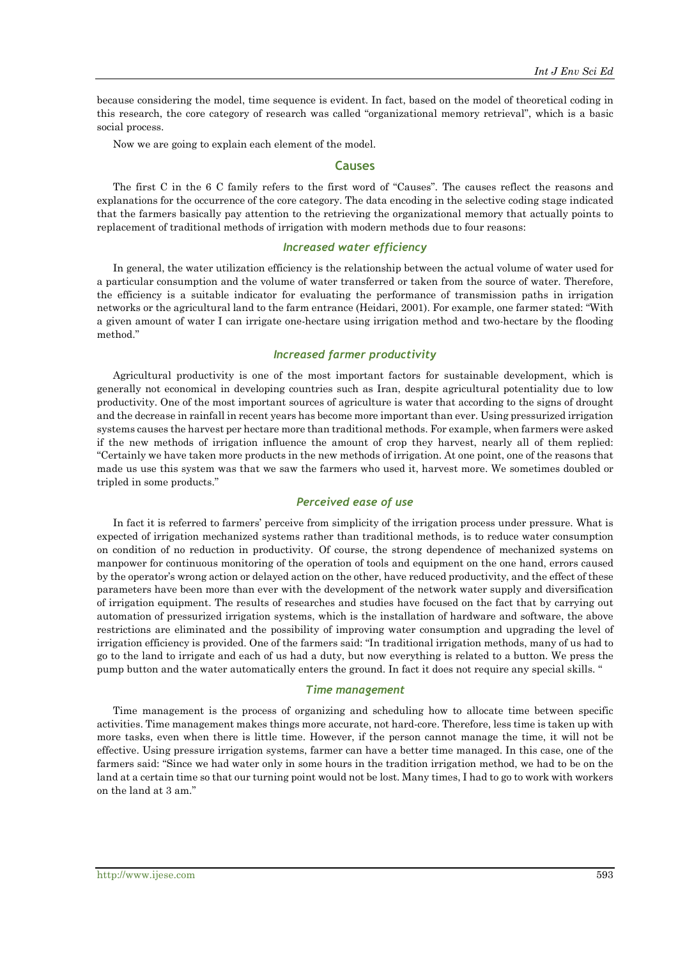because considering the model, time sequence is evident. In fact, based on the model of theoretical coding in this research, the core category of research was called "organizational memory retrieval", which is a basic social process.

Now we are going to explain each element of the model.

#### **Causes**

The first C in the 6 C family refers to the first word of "Causes". The causes reflect the reasons and explanations for the occurrence of the core category. The data encoding in the selective coding stage indicated that the farmers basically pay attention to the retrieving the organizational memory that actually points to replacement of traditional methods of irrigation with modern methods due to four reasons:

#### *Increased water efficiency*

In general, the water utilization efficiency is the relationship between the actual volume of water used for a particular consumption and the volume of water transferred or taken from the source of water. Therefore, the efficiency is a suitable indicator for evaluating the performance of transmission paths in irrigation networks or the agricultural land to the farm entrance (Heidari, 2001). For example, one farmer stated: "With a given amount of water I can irrigate one-hectare using irrigation method and two-hectare by the flooding method."

## *Increased farmer productivity*

Agricultural productivity is one of the most important factors for sustainable development, which is generally not economical in developing countries such as Iran, despite agricultural potentiality due to low productivity. One of the most important sources of agriculture is water that according to the signs of drought and the decrease in rainfall in recent years has become more important than ever. Using pressurized irrigation systems causes the harvest per hectare more than traditional methods. For example, when farmers were asked if the new methods of irrigation influence the amount of crop they harvest, nearly all of them replied: "Certainly we have taken more products in the new methods of irrigation. At one point, one of the reasons that made us use this system was that we saw the farmers who used it, harvest more. We sometimes doubled or tripled in some products."

#### *Perceived ease of use*

In fact it is referred to farmers' perceive from simplicity of the irrigation process under pressure. What is expected of irrigation mechanized systems rather than traditional methods, is to reduce water consumption on condition of no reduction in productivity. Of course, the strong dependence of mechanized systems on manpower for continuous monitoring of the operation of tools and equipment on the one hand, errors caused by the operator's wrong action or delayed action on the other, have reduced productivity, and the effect of these parameters have been more than ever with the development of the network water supply and diversification of irrigation equipment. The results of researches and studies have focused on the fact that by carrying out automation of pressurized irrigation systems, which is the installation of hardware and software, the above restrictions are eliminated and the possibility of improving water consumption and upgrading the level of irrigation efficiency is provided. One of the farmers said: "In traditional irrigation methods, many of us had to go to the land to irrigate and each of us had a duty, but now everything is related to a button. We press the pump button and the water automatically enters the ground. In fact it does not require any special skills. "

#### *Time management*

Time management is the process of organizing and scheduling how to allocate time between specific activities. Time management makes things more accurate, not hard-core. Therefore, less time is taken up with more tasks, even when there is little time. However, if the person cannot manage the time, it will not be effective. Using pressure irrigation systems, farmer can have a better time managed. In this case, one of the farmers said: "Since we had water only in some hours in the tradition irrigation method, we had to be on the land at a certain time so that our turning point would not be lost. Many times, I had to go to work with workers on the land at 3 am."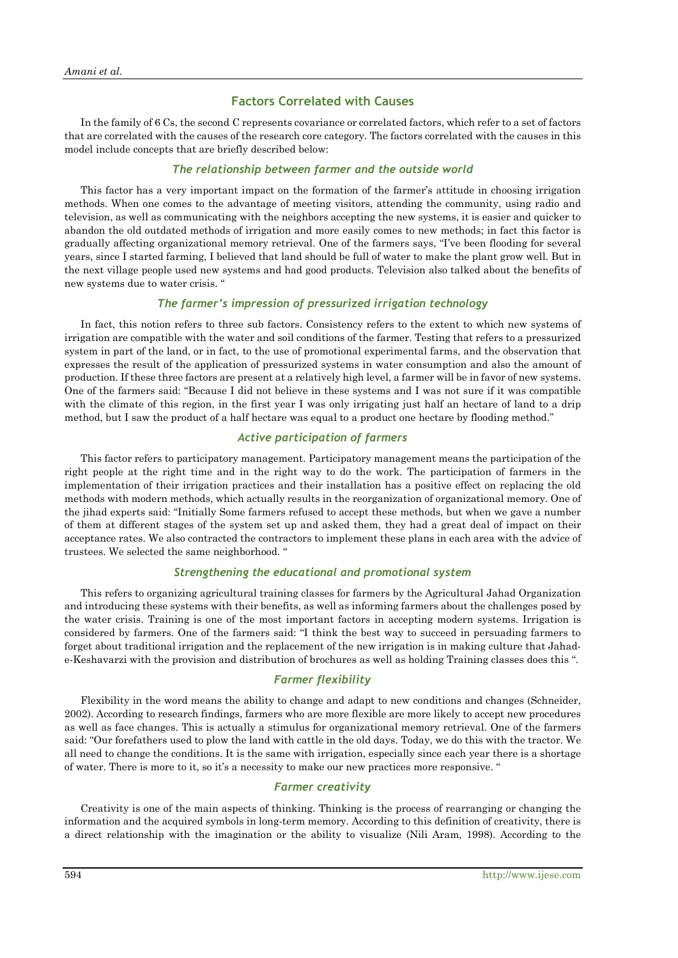## **Factors Correlated with Causes**

In the family of 6 Cs, the second C represents covariance or correlated factors, which refer to a set of factors that are correlated with the causes of the research core category. The factors correlated with the causes in this model include concepts that are briefly described below:

## *The relationship between farmer and the outside world*

This factor has a very important impact on the formation of the farmer's attitude in choosing irrigation methods. When one comes to the advantage of meeting visitors, attending the community, using radio and television, as well as communicating with the neighbors accepting the new systems, it is easier and quicker to abandon the old outdated methods of irrigation and more easily comes to new methods; in fact this factor is gradually affecting organizational memory retrieval. One of the farmers says, "I've been flooding for several years, since I started farming, I believed that land should be full of water to make the plant grow well. But in the next village people used new systems and had good products. Television also talked about the benefits of new systems due to water crisis. "

## *The farmer's impression of pressurized irrigation technology*

In fact, this notion refers to three sub factors. Consistency refers to the extent to which new systems of irrigation are compatible with the water and soil conditions of the farmer. Testing that refers to a pressurized system in part of the land, or in fact, to the use of promotional experimental farms, and the observation that expresses the result of the application of pressurized systems in water consumption and also the amount of production. If these three factors are present at a relatively high level, a farmer will be in favor of new systems. One of the farmers said: "Because I did not believe in these systems and I was not sure if it was compatible with the climate of this region, in the first year I was only irrigating just half an hectare of land to a drip method, but I saw the product of a half hectare was equal to a product one hectare by flooding method."

#### *Active participation of farmers*

This factor refers to participatory management. Participatory management means the participation of the right people at the right time and in the right way to do the work. The participation of farmers in the implementation of their irrigation practices and their installation has a positive effect on replacing the old methods with modern methods, which actually results in the reorganization of organizational memory. One of the jihad experts said: "Initially Some farmers refused to accept these methods, but when we gave a number of them at different stages of the system set up and asked them, they had a great deal of impact on their acceptance rates. We also contracted the contractors to implement these plans in each area with the advice of trustees. We selected the same neighborhood. "

## *Strengthening the educational and promotional system*

This refers to organizing agricultural training classes for farmers by the Agricultural Jahad Organization and introducing these systems with their benefits, as well as informing farmers about the challenges posed by the water crisis. Training is one of the most important factors in accepting modern systems. Irrigation is considered by farmers. One of the farmers said: "I think the best way to succeed in persuading farmers to forget about traditional irrigation and the replacement of the new irrigation is in making culture that Jahade-Keshavarzi with the provision and distribution of brochures as well as holding Training classes does this ".

## *Farmer flexibility*

Flexibility in the word means the ability to change and adapt to new conditions and changes (Schneider, 2002). According to research findings, farmers who are more flexible are more likely to accept new procedures as well as face changes. This is actually a stimulus for organizational memory retrieval. One of the farmers said: "Our forefathers used to plow the land with cattle in the old days. Today, we do this with the tractor. We all need to change the conditions. It is the same with irrigation, especially since each year there is a shortage of water. There is more to it, so it's a necessity to make our new practices more responsive. "

## *Farmer creativity*

Creativity is one of the main aspects of thinking. Thinking is the process of rearranging or changing the information and the acquired symbols in long-term memory. According to this definition of creativity, there is a direct relationship with the imagination or the ability to visualize (Nili Aram, 1998). According to the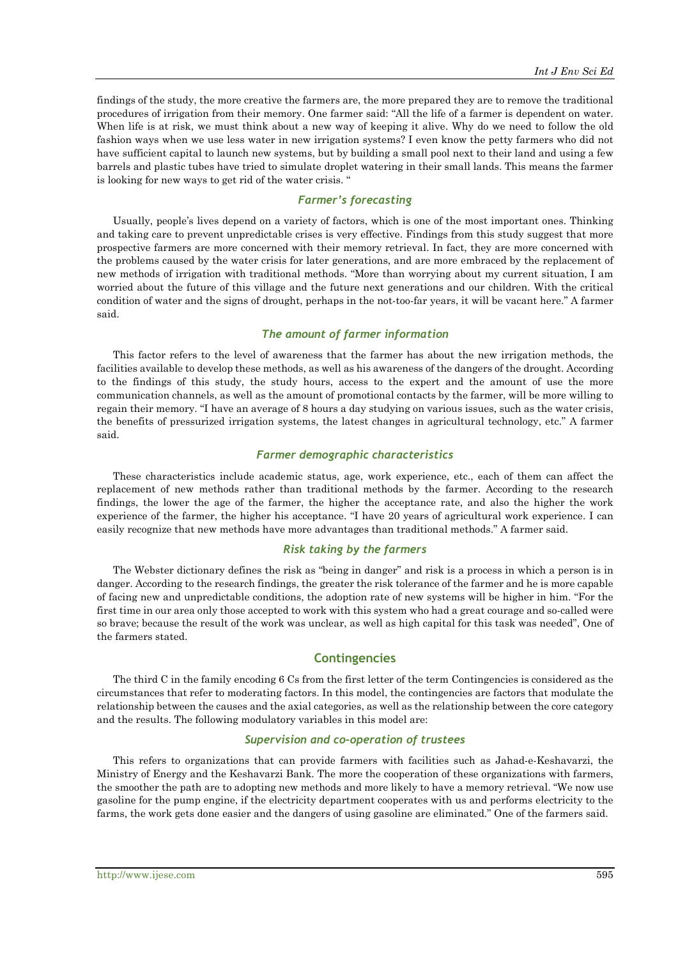findings of the study, the more creative the farmers are, the more prepared they are to remove the traditional procedures of irrigation from their memory. One farmer said: "All the life of a farmer is dependent on water. When life is at risk, we must think about a new way of keeping it alive. Why do we need to follow the old fashion ways when we use less water in new irrigation systems? I even know the petty farmers who did not have sufficient capital to launch new systems, but by building a small pool next to their land and using a few barrels and plastic tubes have tried to simulate droplet watering in their small lands. This means the farmer is looking for new ways to get rid of the water crisis. "

## *Farmer's forecasting*

Usually, people's lives depend on a variety of factors, which is one of the most important ones. Thinking and taking care to prevent unpredictable crises is very effective. Findings from this study suggest that more prospective farmers are more concerned with their memory retrieval. In fact, they are more concerned with the problems caused by the water crisis for later generations, and are more embraced by the replacement of new methods of irrigation with traditional methods. "More than worrying about my current situation, I am worried about the future of this village and the future next generations and our children. With the critical condition of water and the signs of drought, perhaps in the not-too-far years, it will be vacant here." A farmer said.

## *The amount of farmer information*

This factor refers to the level of awareness that the farmer has about the new irrigation methods, the facilities available to develop these methods, as well as his awareness of the dangers of the drought. According to the findings of this study, the study hours, access to the expert and the amount of use the more communication channels, as well as the amount of promotional contacts by the farmer, will be more willing to regain their memory. "I have an average of 8 hours a day studying on various issues, such as the water crisis, the benefits of pressurized irrigation systems, the latest changes in agricultural technology, etc." A farmer said.

## *Farmer demographic characteristics*

These characteristics include academic status, age, work experience, etc., each of them can affect the replacement of new methods rather than traditional methods by the farmer. According to the research findings, the lower the age of the farmer, the higher the acceptance rate, and also the higher the work experience of the farmer, the higher his acceptance. "I have 20 years of agricultural work experience. I can easily recognize that new methods have more advantages than traditional methods." A farmer said.

#### *Risk taking by the farmers*

The Webster dictionary defines the risk as "being in danger" and risk is a process in which a person is in danger. According to the research findings, the greater the risk tolerance of the farmer and he is more capable of facing new and unpredictable conditions, the adoption rate of new systems will be higher in him. "For the first time in our area only those accepted to work with this system who had a great courage and so-called were so brave; because the result of the work was unclear, as well as high capital for this task was needed", One of the farmers stated.

## **Contingencies**

The third C in the family encoding 6 Cs from the first letter of the term Contingencies is considered as the circumstances that refer to moderating factors. In this model, the contingencies are factors that modulate the relationship between the causes and the axial categories, as well as the relationship between the core category and the results. The following modulatory variables in this model are:

#### *Supervision and co-operation of trustees*

This refers to organizations that can provide farmers with facilities such as Jahad-e-Keshavarzi, the Ministry of Energy and the Keshavarzi Bank. The more the cooperation of these organizations with farmers, the smoother the path are to adopting new methods and more likely to have a memory retrieval. "We now use gasoline for the pump engine, if the electricity department cooperates with us and performs electricity to the farms, the work gets done easier and the dangers of using gasoline are eliminated." One of the farmers said.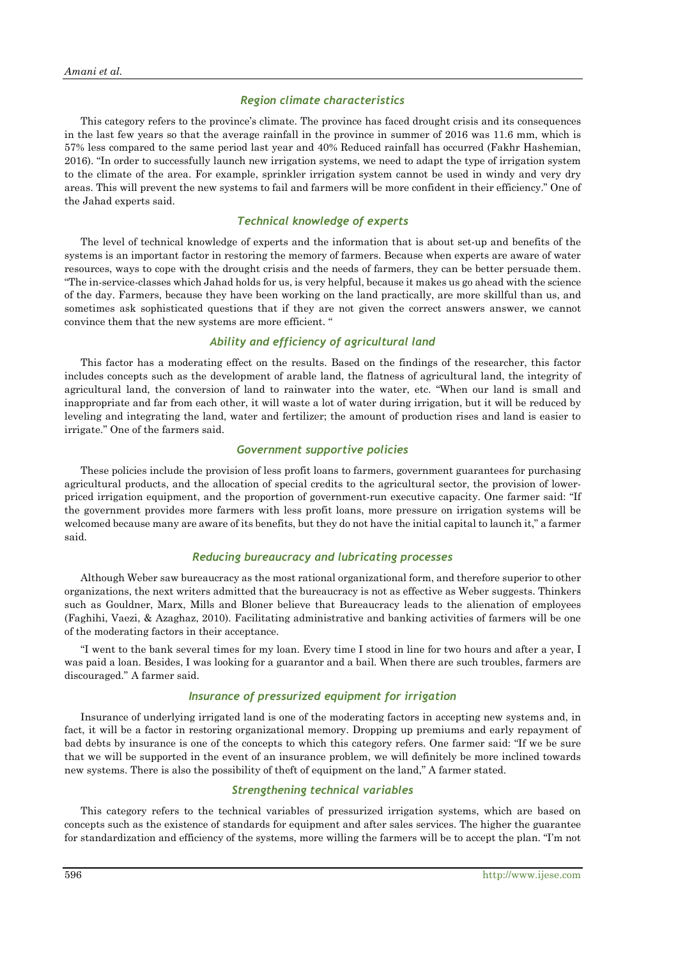#### *Region climate characteristics*

This category refers to the province's climate. The province has faced drought crisis and its consequences in the last few years so that the average rainfall in the province in summer of 2016 was 11.6 mm, which is 57% less compared to the same period last year and 40% Reduced rainfall has occurred (Fakhr Hashemian, 2016). "In order to successfully launch new irrigation systems, we need to adapt the type of irrigation system to the climate of the area. For example, sprinkler irrigation system cannot be used in windy and very dry areas. This will prevent the new systems to fail and farmers will be more confident in their efficiency." One of the Jahad experts said.

## *Technical knowledge of experts*

The level of technical knowledge of experts and the information that is about set-up and benefits of the systems is an important factor in restoring the memory of farmers. Because when experts are aware of water resources, ways to cope with the drought crisis and the needs of farmers, they can be better persuade them. "The in-service-classes which Jahad holds for us, is very helpful, because it makes us go ahead with the science of the day. Farmers, because they have been working on the land practically, are more skillful than us, and sometimes ask sophisticated questions that if they are not given the correct answers answer, we cannot convince them that the new systems are more efficient. "

## *Ability and efficiency of agricultural land*

This factor has a moderating effect on the results. Based on the findings of the researcher, this factor includes concepts such as the development of arable land, the flatness of agricultural land, the integrity of agricultural land, the conversion of land to rainwater into the water, etc. "When our land is small and inappropriate and far from each other, it will waste a lot of water during irrigation, but it will be reduced by leveling and integrating the land, water and fertilizer; the amount of production rises and land is easier to irrigate." One of the farmers said.

#### *Government supportive policies*

These policies include the provision of less profit loans to farmers, government guarantees for purchasing agricultural products, and the allocation of special credits to the agricultural sector, the provision of lowerpriced irrigation equipment, and the proportion of government-run executive capacity. One farmer said: "If the government provides more farmers with less profit loans, more pressure on irrigation systems will be welcomed because many are aware of its benefits, but they do not have the initial capital to launch it," a farmer said.

#### *Reducing bureaucracy and lubricating processes*

Although Weber saw bureaucracy as the most rational organizational form, and therefore superior to other organizations, the next writers admitted that the bureaucracy is not as effective as Weber suggests. Thinkers such as Gouldner, Marx, Mills and Bloner believe that Bureaucracy leads to the alienation of employees (Faghihi, Vaezi, & Azaghaz, 2010). Facilitating administrative and banking activities of farmers will be one of the moderating factors in their acceptance.

"I went to the bank several times for my loan. Every time I stood in line for two hours and after a year, I was paid a loan. Besides, I was looking for a guarantor and a bail. When there are such troubles, farmers are discouraged." A farmer said.

## *Insurance of pressurized equipment for irrigation*

Insurance of underlying irrigated land is one of the moderating factors in accepting new systems and, in fact, it will be a factor in restoring organizational memory. Dropping up premiums and early repayment of bad debts by insurance is one of the concepts to which this category refers. One farmer said: "If we be sure that we will be supported in the event of an insurance problem, we will definitely be more inclined towards new systems. There is also the possibility of theft of equipment on the land," A farmer stated.

## *Strengthening technical variables*

This category refers to the technical variables of pressurized irrigation systems, which are based on concepts such as the existence of standards for equipment and after sales services. The higher the guarantee for standardization and efficiency of the systems, more willing the farmers will be to accept the plan. "I'm not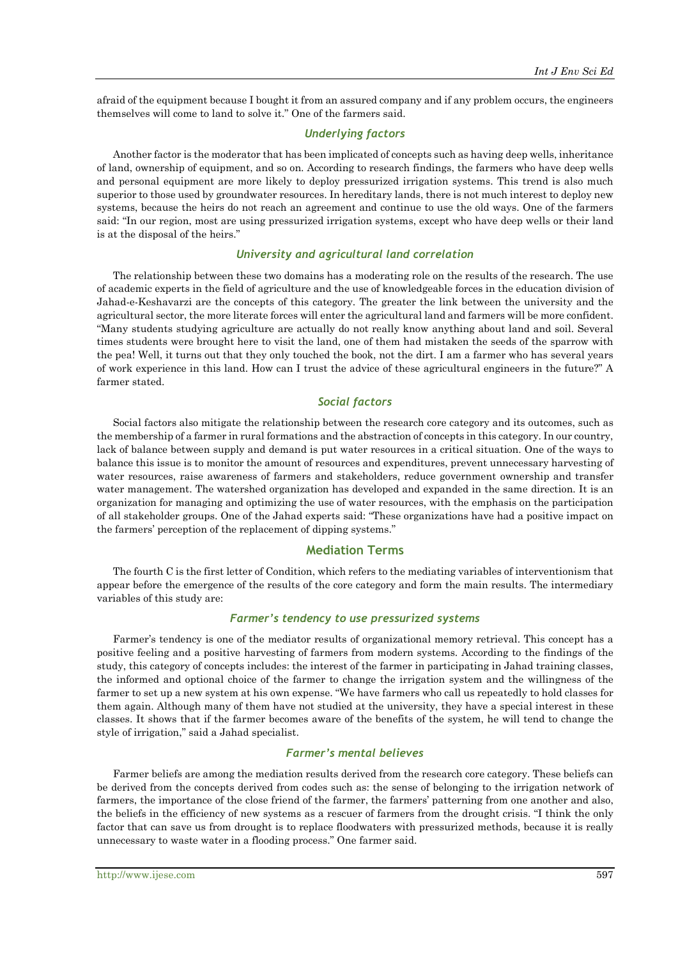afraid of the equipment because I bought it from an assured company and if any problem occurs, the engineers themselves will come to land to solve it." One of the farmers said.

## *Underlying factors*

Another factor is the moderator that has been implicated of concepts such as having deep wells, inheritance of land, ownership of equipment, and so on. According to research findings, the farmers who have deep wells and personal equipment are more likely to deploy pressurized irrigation systems. This trend is also much superior to those used by groundwater resources. In hereditary lands, there is not much interest to deploy new systems, because the heirs do not reach an agreement and continue to use the old ways. One of the farmers said: "In our region, most are using pressurized irrigation systems, except who have deep wells or their land is at the disposal of the heirs."

#### *University and agricultural land correlation*

The relationship between these two domains has a moderating role on the results of the research. The use of academic experts in the field of agriculture and the use of knowledgeable forces in the education division of Jahad-e-Keshavarzi are the concepts of this category. The greater the link between the university and the agricultural sector, the more literate forces will enter the agricultural land and farmers will be more confident. "Many students studying agriculture are actually do not really know anything about land and soil. Several times students were brought here to visit the land, one of them had mistaken the seeds of the sparrow with the pea! Well, it turns out that they only touched the book, not the dirt. I am a farmer who has several years of work experience in this land. How can I trust the advice of these agricultural engineers in the future?" A farmer stated.

#### *Social factors*

Social factors also mitigate the relationship between the research core category and its outcomes, such as the membership of a farmer in rural formations and the abstraction of concepts in this category. In our country, lack of balance between supply and demand is put water resources in a critical situation. One of the ways to balance this issue is to monitor the amount of resources and expenditures, prevent unnecessary harvesting of water resources, raise awareness of farmers and stakeholders, reduce government ownership and transfer water management. The watershed organization has developed and expanded in the same direction. It is an organization for managing and optimizing the use of water resources, with the emphasis on the participation of all stakeholder groups. One of the Jahad experts said: "These organizations have had a positive impact on the farmers' perception of the replacement of dipping systems."

## **Mediation Terms**

The fourth C is the first letter of Condition, which refers to the mediating variables of interventionism that appear before the emergence of the results of the core category and form the main results. The intermediary variables of this study are:

#### *Farmer's tendency to use pressurized systems*

Farmer's tendency is one of the mediator results of organizational memory retrieval. This concept has a positive feeling and a positive harvesting of farmers from modern systems. According to the findings of the study, this category of concepts includes: the interest of the farmer in participating in Jahad training classes, the informed and optional choice of the farmer to change the irrigation system and the willingness of the farmer to set up a new system at his own expense. "We have farmers who call us repeatedly to hold classes for them again. Although many of them have not studied at the university, they have a special interest in these classes. It shows that if the farmer becomes aware of the benefits of the system, he will tend to change the style of irrigation," said a Jahad specialist.

#### *Farmer's mental believes*

Farmer beliefs are among the mediation results derived from the research core category. These beliefs can be derived from the concepts derived from codes such as: the sense of belonging to the irrigation network of farmers, the importance of the close friend of the farmer, the farmers' patterning from one another and also, the beliefs in the efficiency of new systems as a rescuer of farmers from the drought crisis. "I think the only factor that can save us from drought is to replace floodwaters with pressurized methods, because it is really unnecessary to waste water in a flooding process." One farmer said.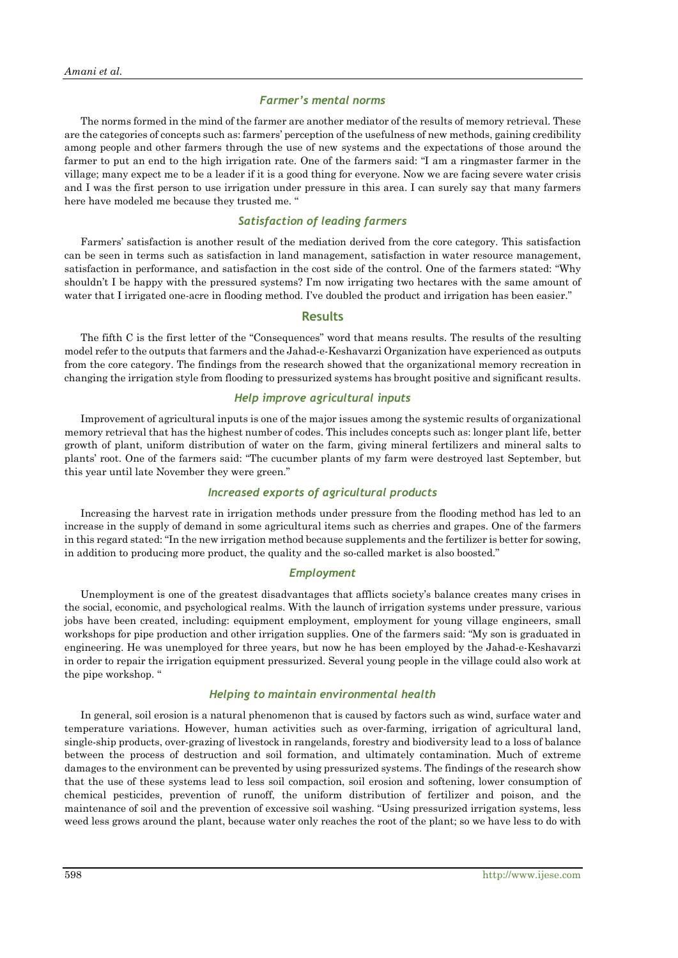#### *Farmer's mental norms*

The norms formed in the mind of the farmer are another mediator of the results of memory retrieval. These are the categories of concepts such as: farmers' perception of the usefulness of new methods, gaining credibility among people and other farmers through the use of new systems and the expectations of those around the farmer to put an end to the high irrigation rate. One of the farmers said: "I am a ringmaster farmer in the village; many expect me to be a leader if it is a good thing for everyone. Now we are facing severe water crisis and I was the first person to use irrigation under pressure in this area. I can surely say that many farmers here have modeled me because they trusted me. "

## *Satisfaction of leading farmers*

Farmers' satisfaction is another result of the mediation derived from the core category. This satisfaction can be seen in terms such as satisfaction in land management, satisfaction in water resource management, satisfaction in performance, and satisfaction in the cost side of the control. One of the farmers stated: "Why shouldn't I be happy with the pressured systems? I'm now irrigating two hectares with the same amount of water that I irrigated one-acre in flooding method. I've doubled the product and irrigation has been easier."

#### **Results**

The fifth C is the first letter of the "Consequences" word that means results. The results of the resulting model refer to the outputs that farmers and the Jahad-e-Keshavarzi Organization have experienced as outputs from the core category. The findings from the research showed that the organizational memory recreation in changing the irrigation style from flooding to pressurized systems has brought positive and significant results.

#### *Help improve agricultural inputs*

Improvement of agricultural inputs is one of the major issues among the systemic results of organizational memory retrieval that has the highest number of codes. This includes concepts such as: longer plant life, better growth of plant, uniform distribution of water on the farm, giving mineral fertilizers and mineral salts to plants' root. One of the farmers said: "The cucumber plants of my farm were destroyed last September, but this year until late November they were green."

## *Increased exports of agricultural products*

Increasing the harvest rate in irrigation methods under pressure from the flooding method has led to an increase in the supply of demand in some agricultural items such as cherries and grapes. One of the farmers in this regard stated: "In the new irrigation method because supplements and the fertilizer is better for sowing, in addition to producing more product, the quality and the so-called market is also boosted."

#### *Employment*

Unemployment is one of the greatest disadvantages that afflicts society's balance creates many crises in the social, economic, and psychological realms. With the launch of irrigation systems under pressure, various jobs have been created, including: equipment employment, employment for young village engineers, small workshops for pipe production and other irrigation supplies. One of the farmers said: "My son is graduated in engineering. He was unemployed for three years, but now he has been employed by the Jahad-e-Keshavarzi in order to repair the irrigation equipment pressurized. Several young people in the village could also work at the pipe workshop. "

#### *Helping to maintain environmental health*

In general, soil erosion is a natural phenomenon that is caused by factors such as wind, surface water and temperature variations. However, human activities such as over-farming, irrigation of agricultural land, single-ship products, over-grazing of livestock in rangelands, forestry and biodiversity lead to a loss of balance between the process of destruction and soil formation, and ultimately contamination. Much of extreme damages to the environment can be prevented by using pressurized systems. The findings of the research show that the use of these systems lead to less soil compaction, soil erosion and softening, lower consumption of chemical pesticides, prevention of runoff, the uniform distribution of fertilizer and poison, and the maintenance of soil and the prevention of excessive soil washing. "Using pressurized irrigation systems, less weed less grows around the plant, because water only reaches the root of the plant; so we have less to do with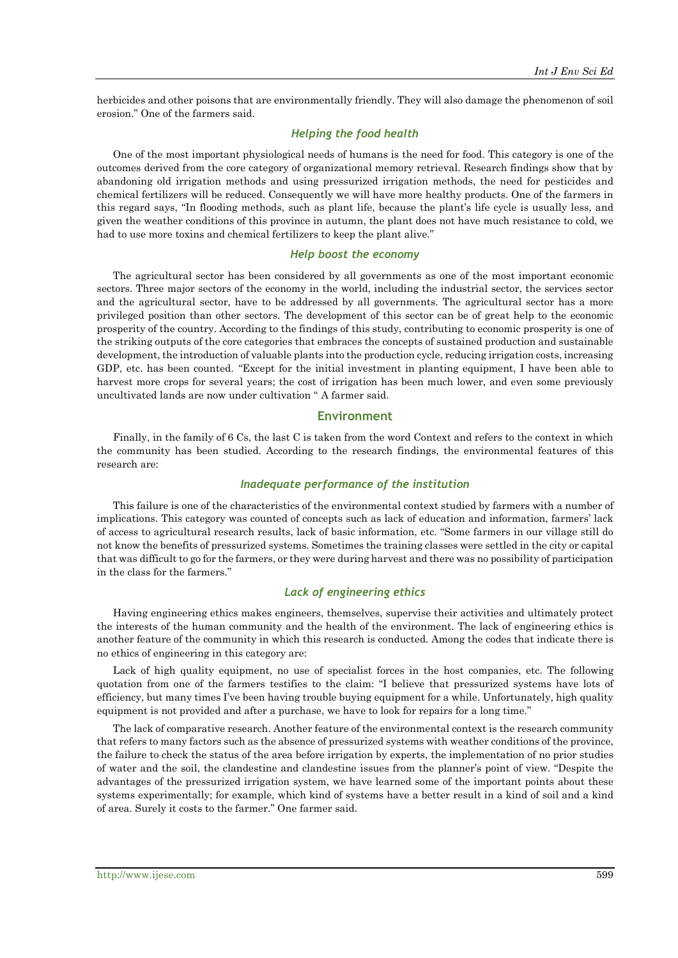herbicides and other poisons that are environmentally friendly. They will also damage the phenomenon of soil erosion." One of the farmers said.

## *Helping the food health*

One of the most important physiological needs of humans is the need for food. This category is one of the outcomes derived from the core category of organizational memory retrieval. Research findings show that by abandoning old irrigation methods and using pressurized irrigation methods, the need for pesticides and chemical fertilizers will be reduced. Consequently we will have more healthy products. One of the farmers in this regard says, "In flooding methods, such as plant life, because the plant's life cycle is usually less, and given the weather conditions of this province in autumn, the plant does not have much resistance to cold, we had to use more toxins and chemical fertilizers to keep the plant alive."

## *Help boost the economy*

The agricultural sector has been considered by all governments as one of the most important economic sectors. Three major sectors of the economy in the world, including the industrial sector, the services sector and the agricultural sector, have to be addressed by all governments. The agricultural sector has a more privileged position than other sectors. The development of this sector can be of great help to the economic prosperity of the country. According to the findings of this study, contributing to economic prosperity is one of the striking outputs of the core categories that embraces the concepts of sustained production and sustainable development, the introduction of valuable plants into the production cycle, reducing irrigation costs, increasing GDP, etc. has been counted. "Except for the initial investment in planting equipment, I have been able to harvest more crops for several years; the cost of irrigation has been much lower, and even some previously uncultivated lands are now under cultivation " A farmer said.

#### **Environment**

Finally, in the family of 6 Cs, the last C is taken from the word Context and refers to the context in which the community has been studied. According to the research findings, the environmental features of this research are:

#### *Inadequate performance of the institution*

This failure is one of the characteristics of the environmental context studied by farmers with a number of implications. This category was counted of concepts such as lack of education and information, farmers' lack of access to agricultural research results, lack of basic information, etc. "Some farmers in our village still do not know the benefits of pressurized systems. Sometimes the training classes were settled in the city or capital that was difficult to go for the farmers, or they were during harvest and there was no possibility of participation in the class for the farmers."

## *Lack of engineering ethics*

Having engineering ethics makes engineers, themselves, supervise their activities and ultimately protect the interests of the human community and the health of the environment. The lack of engineering ethics is another feature of the community in which this research is conducted. Among the codes that indicate there is no ethics of engineering in this category are:

Lack of high quality equipment, no use of specialist forces in the host companies, etc. The following quotation from one of the farmers testifies to the claim: "I believe that pressurized systems have lots of efficiency, but many times I've been having trouble buying equipment for a while. Unfortunately, high quality equipment is not provided and after a purchase, we have to look for repairs for a long time."

The lack of comparative research. Another feature of the environmental context is the research community that refers to many factors such as the absence of pressurized systems with weather conditions of the province, the failure to check the status of the area before irrigation by experts, the implementation of no prior studies of water and the soil, the clandestine and clandestine issues from the planner's point of view. "Despite the advantages of the pressurized irrigation system, we have learned some of the important points about these systems experimentally; for example, which kind of systems have a better result in a kind of soil and a kind of area. Surely it costs to the farmer." One farmer said.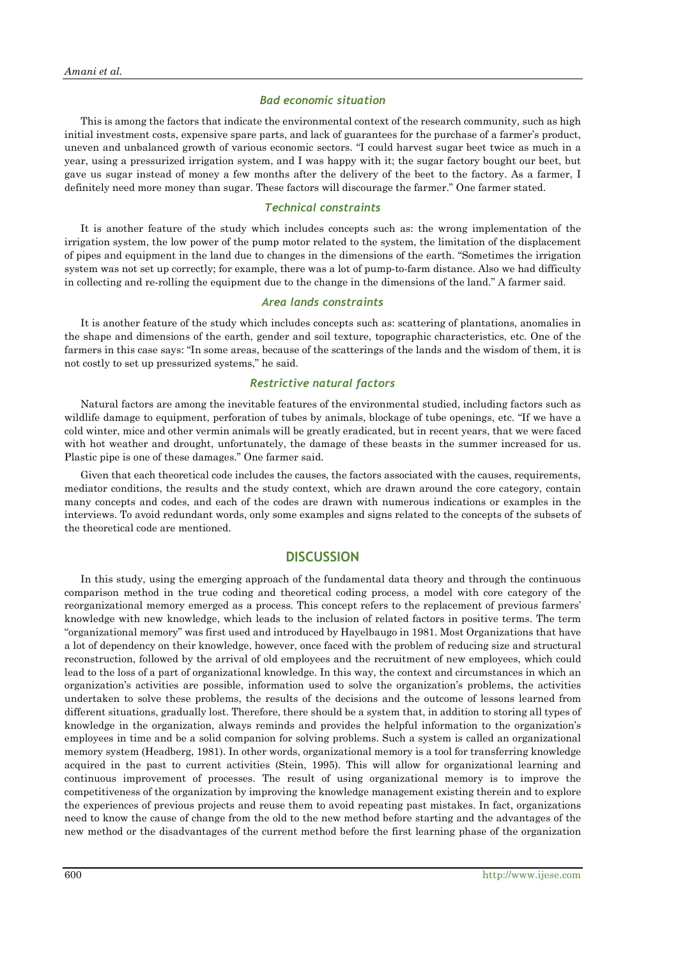#### *Bad economic situation*

This is among the factors that indicate the environmental context of the research community, such as high initial investment costs, expensive spare parts, and lack of guarantees for the purchase of a farmer's product, uneven and unbalanced growth of various economic sectors. "I could harvest sugar beet twice as much in a year, using a pressurized irrigation system, and I was happy with it; the sugar factory bought our beet, but gave us sugar instead of money a few months after the delivery of the beet to the factory. As a farmer, I definitely need more money than sugar. These factors will discourage the farmer." One farmer stated.

#### *Technical constraints*

It is another feature of the study which includes concepts such as: the wrong implementation of the irrigation system, the low power of the pump motor related to the system, the limitation of the displacement of pipes and equipment in the land due to changes in the dimensions of the earth. "Sometimes the irrigation system was not set up correctly; for example, there was a lot of pump-to-farm distance. Also we had difficulty in collecting and re-rolling the equipment due to the change in the dimensions of the land." A farmer said.

#### *Area lands constraints*

It is another feature of the study which includes concepts such as: scattering of plantations, anomalies in the shape and dimensions of the earth, gender and soil texture, topographic characteristics, etc. One of the farmers in this case says: "In some areas, because of the scatterings of the lands and the wisdom of them, it is not costly to set up pressurized systems," he said.

## *Restrictive natural factors*

Natural factors are among the inevitable features of the environmental studied, including factors such as wildlife damage to equipment, perforation of tubes by animals, blockage of tube openings, etc. "If we have a cold winter, mice and other vermin animals will be greatly eradicated, but in recent years, that we were faced with hot weather and drought, unfortunately, the damage of these beasts in the summer increased for us. Plastic pipe is one of these damages." One farmer said.

Given that each theoretical code includes the causes, the factors associated with the causes, requirements, mediator conditions, the results and the study context, which are drawn around the core category, contain many concepts and codes, and each of the codes are drawn with numerous indications or examples in the interviews. To avoid redundant words, only some examples and signs related to the concepts of the subsets of the theoretical code are mentioned.

## **DISCUSSION**

In this study, using the emerging approach of the fundamental data theory and through the continuous comparison method in the true coding and theoretical coding process, a model with core category of the reorganizational memory emerged as a process. This concept refers to the replacement of previous farmers' knowledge with new knowledge, which leads to the inclusion of related factors in positive terms. The term "organizational memory" was first used and introduced by Hayelbaugo in 1981. Most Organizations that have a lot of dependency on their knowledge, however, once faced with the problem of reducing size and structural reconstruction, followed by the arrival of old employees and the recruitment of new employees, which could lead to the loss of a part of organizational knowledge. In this way, the context and circumstances in which an organization's activities are possible, information used to solve the organization's problems, the activities undertaken to solve these problems, the results of the decisions and the outcome of lessons learned from different situations, gradually lost. Therefore, there should be a system that, in addition to storing all types of knowledge in the organization, always reminds and provides the helpful information to the organization's employees in time and be a solid companion for solving problems. Such a system is called an organizational memory system (Headberg, 1981). In other words, organizational memory is a tool for transferring knowledge acquired in the past to current activities (Stein, 1995). This will allow for organizational learning and continuous improvement of processes. The result of using organizational memory is to improve the competitiveness of the organization by improving the knowledge management existing therein and to explore the experiences of previous projects and reuse them to avoid repeating past mistakes. In fact, organizations need to know the cause of change from the old to the new method before starting and the advantages of the new method or the disadvantages of the current method before the first learning phase of the organization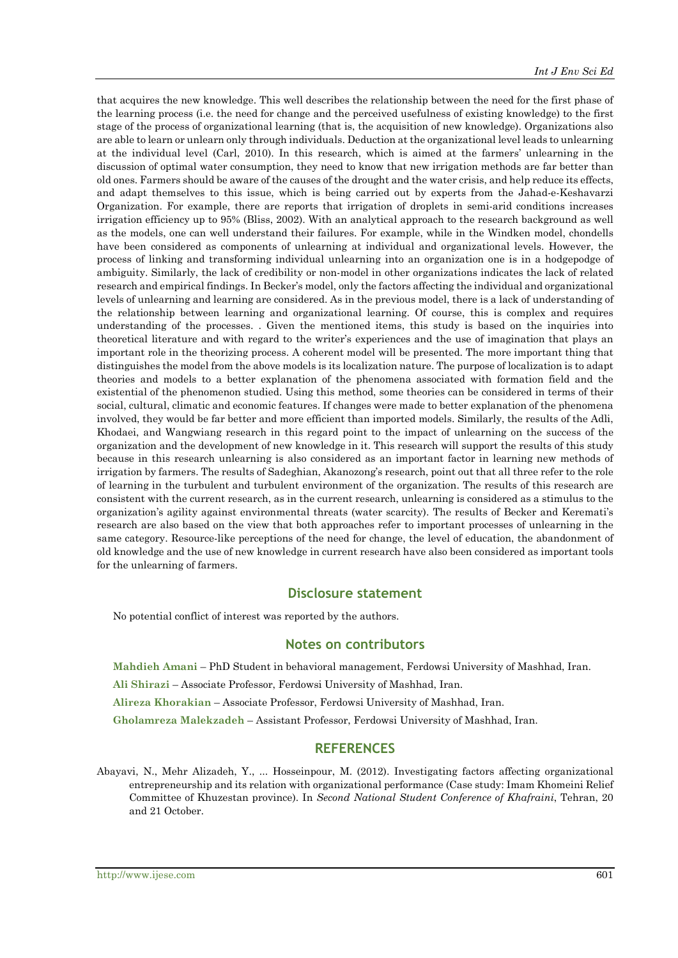that acquires the new knowledge. This well describes the relationship between the need for the first phase of the learning process (i.e. the need for change and the perceived usefulness of existing knowledge) to the first stage of the process of organizational learning (that is, the acquisition of new knowledge). Organizations also are able to learn or unlearn only through individuals. Deduction at the organizational level leads to unlearning at the individual level (Carl, 2010). In this research, which is aimed at the farmers' unlearning in the discussion of optimal water consumption, they need to know that new irrigation methods are far better than old ones. Farmers should be aware of the causes of the drought and the water crisis, and help reduce its effects, and adapt themselves to this issue, which is being carried out by experts from the Jahad-e-Keshavarzi Organization. For example, there are reports that irrigation of droplets in semi-arid conditions increases irrigation efficiency up to 95% (Bliss, 2002). With an analytical approach to the research background as well as the models, one can well understand their failures. For example, while in the Windken model, chondells have been considered as components of unlearning at individual and organizational levels. However, the process of linking and transforming individual unlearning into an organization one is in a hodgepodge of ambiguity. Similarly, the lack of credibility or non-model in other organizations indicates the lack of related research and empirical findings. In Becker's model, only the factors affecting the individual and organizational levels of unlearning and learning are considered. As in the previous model, there is a lack of understanding of the relationship between learning and organizational learning. Of course, this is complex and requires understanding of the processes. . Given the mentioned items, this study is based on the inquiries into theoretical literature and with regard to the writer's experiences and the use of imagination that plays an important role in the theorizing process. A coherent model will be presented. The more important thing that distinguishes the model from the above models is its localization nature. The purpose of localization is to adapt theories and models to a better explanation of the phenomena associated with formation field and the existential of the phenomenon studied. Using this method, some theories can be considered in terms of their social, cultural, climatic and economic features. If changes were made to better explanation of the phenomena involved, they would be far better and more efficient than imported models. Similarly, the results of the Adli, Khodaei, and Wangwiang research in this regard point to the impact of unlearning on the success of the organization and the development of new knowledge in it. This research will support the results of this study because in this research unlearning is also considered as an important factor in learning new methods of irrigation by farmers. The results of Sadeghian, Akanozong's research, point out that all three refer to the role of learning in the turbulent and turbulent environment of the organization. The results of this research are consistent with the current research, as in the current research, unlearning is considered as a stimulus to the organization's agility against environmental threats (water scarcity). The results of Becker and Keremati's research are also based on the view that both approaches refer to important processes of unlearning in the same category. Resource-like perceptions of the need for change, the level of education, the abandonment of old knowledge and the use of new knowledge in current research have also been considered as important tools for the unlearning of farmers.

## **Disclosure statement**

No potential conflict of interest was reported by the authors.

## **Notes on contributors**

**Mahdieh Amani** – PhD Student in behavioral management, Ferdowsi University of Mashhad, Iran. **Ali Shirazi** – Associate Professor, Ferdowsi University of Mashhad, Iran. **Alireza Khorakian** – Associate Professor, Ferdowsi University of Mashhad, Iran. **Gholamreza Malekzadeh** – Assistant Professor, Ferdowsi University of Mashhad, Iran.

# **REFERENCES**

Abayavi, N., Mehr Alizadeh, Y., ... Hosseinpour, M. (2012). Investigating factors affecting organizational entrepreneurship and its relation with organizational performance (Case study: Imam Khomeini Relief Committee of Khuzestan province). In *Second National Student Conference of Khafraini*, Tehran, 20 and 21 October.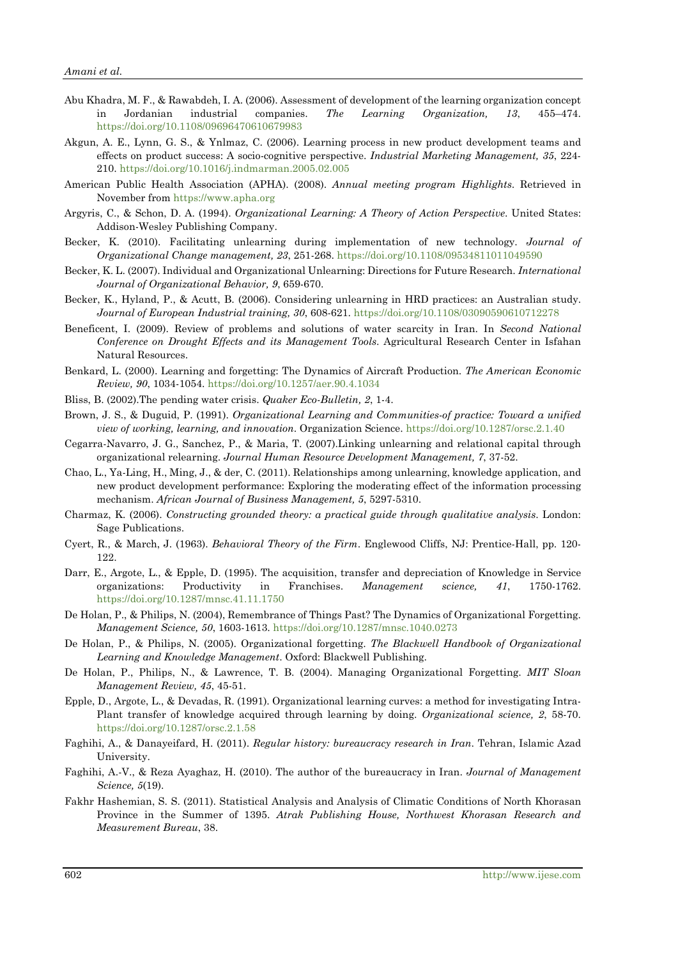- Abu Khadra, M. F., & Rawabdeh, I. A. (2006). Assessment of development of the learning organization concept in Jordanian industrial companies. *The Learning Organization, 13*, 455–474. <https://doi.org/10.1108/09696470610679983>
- Akgun, A. E., Lynn, G. S., & Ynlmaz, C. (2006). Learning process in new product development teams and effects on product success: A socio-cognitive perspective. *Industrial Marketing Management, 35*, 224- 210. <https://doi.org/10.1016/j.indmarman.2005.02.005>
- American Public Health Association (APHA). (2008). *Annual meeting program Highlights*. Retrieved in November from [https://www.apha.org](https://www.apha.org/)
- Argyris, C., & Schon, D. A. (1994). *Organizational Learning: A Theory of Action Perspective*. United States: Addison-Wesley Publishing Company.
- Becker, K. (2010). Facilitating unlearning during implementation of new technology. *Journal of Organizational Change management, 23*, 251-268. <https://doi.org/10.1108/09534811011049590>
- Becker, K. L. (2007). Individual and Organizational Unlearning: Directions for Future Research. *International Journal of Organizational Behavior, 9*, 659-670.
- Becker, K., Hyland, P., & Acutt, B. (2006). Considering unlearning in HRD practices: an Australian study. *Journal of European Industrial training, 30*, 608-621[. https://doi.org/10.1108/03090590610712278](https://doi.org/10.1108/03090590610712278)
- Beneficent, I. (2009). Review of problems and solutions of water scarcity in Iran. In *Second National Conference on Drought Effects and its Management Tools*. Agricultural Research Center in Isfahan Natural Resources.
- Benkard, L. (2000). Learning and forgetting: The Dynamics of Aircraft Production. *The American Economic Review, 90*, 1034-1054. <https://doi.org/10.1257/aer.90.4.1034>
- Bliss, B. (2002).The pending water crisis. *Quaker Eco-Bulletin, 2*, 1-4.
- Brown, J. S., & Duguid, P. (1991). *Organizational Learning and Communities-of practice: Toward a unified view of working, learning, and innovation*. Organization Science. <https://doi.org/10.1287/orsc.2.1.40>
- Cegarra-Navarro, J. G., Sanchez, P., & Maria, T. (2007).Linking unlearning and relational capital through organizational relearning. *Journal Human Resource Development Management, 7*, 37-52.
- Chao, L., Ya-Ling, H., Ming, J., & der, C. (2011). Relationships among unlearning, knowledge application, and new product development performance: Exploring the moderating effect of the information processing mechanism. *African Journal of Business Management, 5*, 5297-5310.
- Charmaz, K. (2006). *Constructing grounded theory: a practical guide through qualitative analysis*. London: Sage Publications.
- Cyert, R., & March, J. (1963). *Behavioral Theory of the Firm*. Englewood Cliffs, NJ: Prentice-Hall, pp. 120- 122.
- Darr, E., Argote, L., & Epple, D. (1995). The acquisition, transfer and depreciation of Knowledge in Service organizations: Productivity in Franchises. *Management science, 41*, 1750-1762. <https://doi.org/10.1287/mnsc.41.11.1750>
- De Holan, P., & Philips, N. (2004), Remembrance of Things Past? The Dynamics of Organizational Forgetting. *Management Science, 50*, 1603-1613. <https://doi.org/10.1287/mnsc.1040.0273>
- De Holan, P., & Philips, N. (2005). Organizational forgetting. *The Blackwell Handbook of Organizational Learning and Knowledge Management*. Oxford: Blackwell Publishing.
- De Holan, P., Philips, N., & Lawrence, T. B. (2004). Managing Organizational Forgetting. *MIT Sloan Management Review, 45*, 45-51.
- Epple, D., Argote, L., & Devadas, R. (1991). Organizational learning curves: a method for investigating Intra-Plant transfer of knowledge acquired through learning by doing. *Organizational science, 2*, 58-70. <https://doi.org/10.1287/orsc.2.1.58>
- Faghihi, A., & Danayeifard, H. (2011). *Regular history: bureaucracy research in Iran*. Tehran, Islamic Azad University.
- Faghihi, A.-V., & Reza Ayaghaz, H. (2010). The author of the bureaucracy in Iran. *Journal of Management Science, 5*(19).
- Fakhr Hashemian, S. S. (2011). Statistical Analysis and Analysis of Climatic Conditions of North Khorasan Province in the Summer of 1395. *Atrak Publishing House, Northwest Khorasan Research and Measurement Bureau*, 38.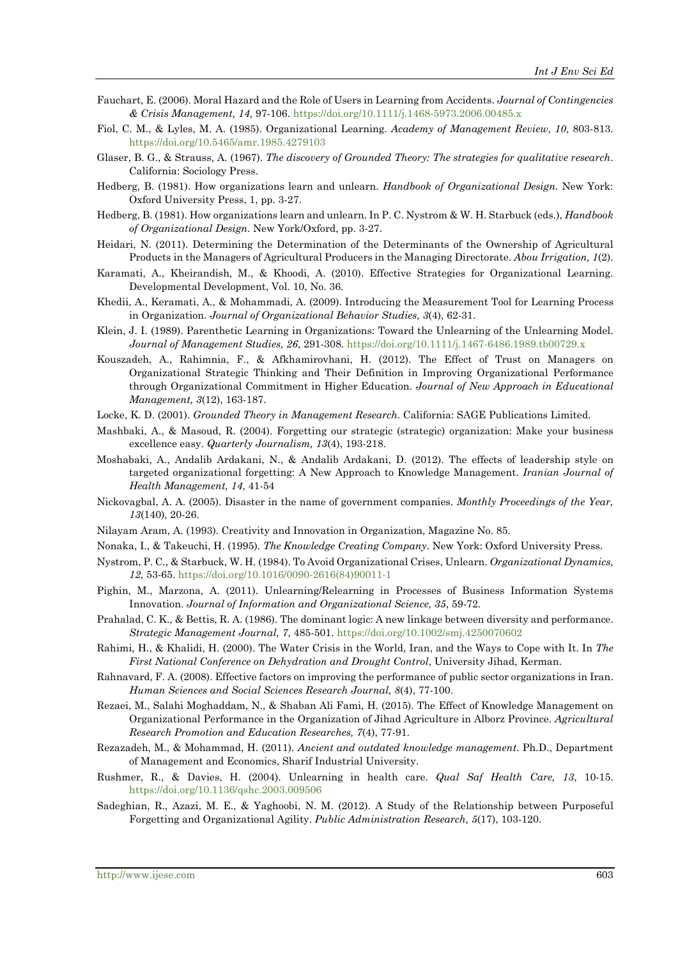- Fauchart, E. (2006). Moral Hazard and the Role of Users in Learning from Accidents. *Journal of Contingencies & Crisis Management, 14*, 97-106. <https://doi.org/10.1111/j.1468-5973.2006.00485.x>
- Fiol, C. M., & Lyles, M. A. (1985). Organizational Learning. *Academy of Management Review, 10*, 803-813. <https://doi.org/10.5465/amr.1985.4279103>
- Glaser, B. G., & Strauss, A. (1967). *The discovery of Grounded Theory: The strategies for qualitative research*. California: Sociology Press.
- Hedberg, B. (1981). How organizations learn and unlearn. *Handbook of Organizational Design*. New York: Oxford University Press, 1, pp. 3-27.
- Hedberg, B. (1981). How organizations learn and unlearn. In P. C. Nystrom & W. H. Starbuck (eds.), *Handbook of Organizational Design*. New York/Oxford, pp. 3-27.
- Heidari, N. (2011). Determining the Determination of the Determinants of the Ownership of Agricultural Products in the Managers of Agricultural Producers in the Managing Directorate. *Abou Irrigation, 1*(2).
- Karamati, A., Kheirandish, M., & Khoodi, A. (2010). Effective Strategies for Organizational Learning. Developmental Development, Vol. 10, No. 36.
- Khedii, A., Keramati, A., & Mohammadi, A. (2009). Introducing the Measurement Tool for Learning Process in Organization. *Journal of Organizational Behavior Studies, 3*(4), 62-31.
- Klein, J. I. (1989). Parenthetic Learning in Organizations: Toward the Unlearning of the Unlearning Model. *Journal of Management Studies, 26*, 291-308. <https://doi.org/10.1111/j.1467-6486.1989.tb00729.x>
- Kouszadeh, A., Rahimnia, F., & Afkhamirovhani, H. (2012). The Effect of Trust on Managers on Organizational Strategic Thinking and Their Definition in Improving Organizational Performance through Organizational Commitment in Higher Education. *Journal of New Approach in Educational Management, 3*(12), 163-187.
- Locke, K. D. (2001). *Grounded Theory in Management Research*. California: SAGE Publications Limited.
- Mashbaki, A., & Masoud, R. (2004). Forgetting our strategic (strategic) organization: Make your business excellence easy. *Quarterly Journalism, 13*(4), 193-218.
- Moshabaki, A., Andalib Ardakani, N., & Andalib Ardakani, D. (2012). The effects of leadership style on targeted organizational forgetting: A New Approach to Knowledge Management. *Iranian Journal of Health Management, 14*, 41-54
- Nickovagbal, A. A. (2005). Disaster in the name of government companies. *Monthly Proceedings of the Year, 13*(140), 20-26.
- Nilayam Aram, A. (1993). Creativity and Innovation in Organization, Magazine No. 85.
- Nonaka, I., & Takeuchi, H. (1995). *The Knowledge Creating Company*. New York: Oxford University Press.
- Nystrom, P. C., & Starbuck, W. H. (1984). To Avoid Organizational Crises, Unlearn. *Organizational Dynamics, 12*, 53-65. [https://doi.org/10.1016/0090-2616\(84\)90011-1](https://doi.org/10.1016/0090-2616(84)90011-1)
- Pighin, M., Marzona, A. (2011). Unlearning/Relearning in Processes of Business Information Systems Innovation. *Journal of Information and Organizational Science, 35*, 59-72.
- Prahalad, C. K., & Bettis, R. A. (1986). The dominant logic: A new linkage between diversity and performance. *Strategic Management Journal, 7*, 485-501. <https://doi.org/10.1002/smj.4250070602>
- Rahimi, H., & Khalidi, H. (2000). The Water Crisis in the World, Iran, and the Ways to Cope with It. In *The First National Conference on Dehydration and Drought Control*, University Jihad, Kerman.
- Rahnavard, F. A. (2008). Effective factors on improving the performance of public sector organizations in Iran. *Human Sciences and Social Sciences Research Journal, 8*(4), 77-100.
- Rezaei, M., Salahi Moghaddam, N., & Shaban Ali Fami, H. (2015). The Effect of Knowledge Management on Organizational Performance in the Organization of Jihad Agriculture in Alborz Province. *Agricultural Research Promotion and Education Researches, 7*(4), 77-91.
- Rezazadeh, M., & Mohammad, H. (2011). *Ancient and outdated knowledge management*. Ph.D., Department of Management and Economics, Sharif Industrial University.
- Rushmer, R., & Davies, H. (2004). Unlearning in health care. *Qual Saf Health Care, 13*, 10-15. <https://doi.org/10.1136/qshc.2003.009506>
- Sadeghian, R., Azazi, M. E., & Yaghoobi, N. M. (2012). A Study of the Relationship between Purposeful Forgetting and Organizational Agility. *Public Administration Research, 5*(17), 103-120.